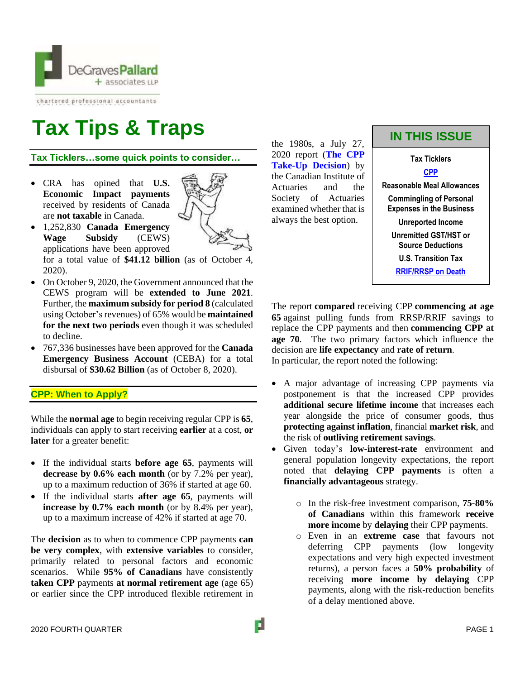

chartered professional accountants

# **Tax Tips & Traps**

**Tax Ticklers…some quick points to consider…**

• CRA has opined that **U.S. Economic Impact payments** received by residents of Canada are **not taxable** in Canada.



• 1,252,830 **Canada Emergency Wage Subsidy** (CEWS) applications have been approved for a total value of **\$41.12 billion** (as of October 4,

2020).

- On October 9, 2020, the Government announced that the CEWS program will be **extended to June 2021**. Further, the **maximum subsidy for period 8** (calculated using October's revenues) of 65% would be **maintained for the next two periods** even though it was scheduled to decline.
- 767,336 businesses have been approved for the **Canada Emergency Business Account** (CEBA) for a total disbursal of **\$30.62 Billion** (as of October 8, 2020).

**CPP: When to Apply?**

While the **normal age** to begin receiving regular CPP is **65**, individuals can apply to start receiving **earlier** at a cost, **or later** for a greater benefit:

- If the individual starts **before age 65**, payments will **decrease by 0.6% each month** (or by 7.2% per year), up to a maximum reduction of 36% if started at age 60.
- If the individual starts **after age 65**, payments will **increase by 0.7% each month** (or by 8.4% per year), up to a maximum increase of 42% if started at age 70.

The **decision** as to when to commence CPP payments **can be very complex**, with **extensive variables** to consider, primarily related to personal factors and economic scenarios. While **95% of Canadians** have consistently **taken CPP** payments **at normal retirement age** (age 65) or earlier since the CPP introduced flexible retirement in the 1980s, a July 27, 2020 report (**[The CPP](https://www.cia-ica.ca/docs/default-source/research/2020/rp220114e.pdf)  [Take-Up Decision](https://www.cia-ica.ca/docs/default-source/research/2020/rp220114e.pdf)**) by the Canadian Institute of Actuaries and the Society of Actuaries examined whether that is always the best option.

## **IN THIS ISSUE**



<span id="page-0-0"></span>The report **compared** receiving CPP **commencing at age 65** against pulling funds from RRSP/RRIF savings to replace the CPP payments and then **commencing CPP at age 70**. The two primary factors which influence the decision are **life expectancy** and **rate of return**. In particular, the report noted the following:

- A major advantage of increasing CPP payments via postponement is that the increased CPP provides **additional secure lifetime income** that increases each year alongside the price of consumer goods, thus **protecting against inflation**, financial **market risk**, and the risk of **outliving retirement savings**.
- Given today's **low-interest-rate** environment and general population longevity expectations, the report noted that **delaying CPP payments** is often a **financially advantageous** strategy.
	- o In the risk-free investment comparison, **75-80% of Canadians** within this framework **receive more income** by **delaying** their CPP payments.
	- o Even in an **extreme case** that favours not deferring CPP payments (low longevity expectations and very high expected investment returns), a person faces a **50% probability** of receiving **more income by delaying** CPP payments, along with the risk-reduction benefits of a delay mentioned above.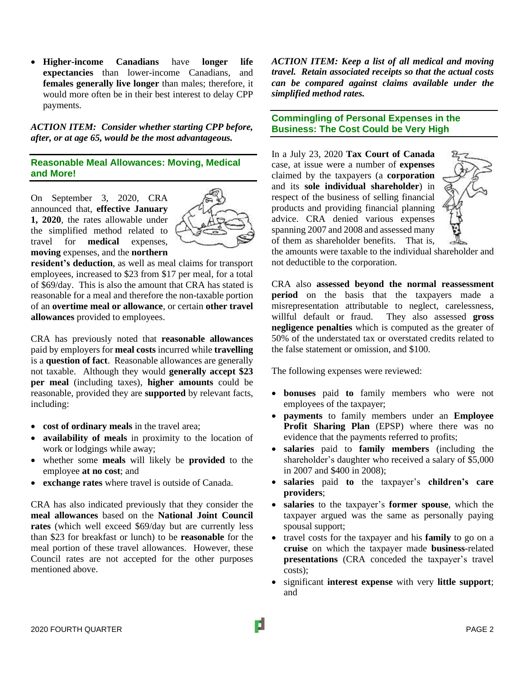• **Higher-income Canadians** have **longer life expectancies** than lower-income Canadians, and **females generally live longer** than males; therefore, it would more often be in their best interest to delay CPP payments.

*ACTION ITEM: Consider whether starting CPP before, after, or at age 65, would be the most advantageous.* 

#### **Reasonable Meal Allowances: Moving, Medical and More!**

On September 3, 2020, CRA announced that, **effective January 1, 2020**, the rates allowable under the simplified method related to travel for **medical** expenses, **moving** expenses, and the **northern**



**resident's deduction**, as well as meal claims for transport employees, increased to \$23 from \$17 per meal, for a total of \$69/day. This is also the amount that CRA has stated is reasonable for a meal and therefore the non-taxable portion of an **overtime meal or allowance**, or certain **other travel allowances** provided to employees.

CRA has previously noted that **reasonable allowances** paid by employers for **meal costs** incurred while **travelling** is a **question of fact**. Reasonable allowances are generally not taxable. Although they would **generally accept \$23 per meal** (including taxes), **higher amounts** could be reasonable, provided they are **supported** by relevant facts, including:

- **cost of ordinary meals** in the travel area;
- **availability of meals** in proximity to the location of work or lodgings while away;
- whether some **meals** will likely be **provided** to the employee **at no cost**; and
- **exchange rates** where travel is outside of Canada.

CRA has also indicated previously that they consider the **meal allowances** based on the **National Joint Council rates** (which well exceed \$69/day but are currently less than \$23 for breakfast or lunch) to be **reasonable** for the meal portion of these travel allowances. However, these Council rates are not accepted for the other purposes mentioned above.

*ACTION ITEM: Keep a list of all medical and moving travel. Retain associated receipts so that the actual costs can be compared against claims available under the simplified method rates.*

**Commingling of Personal Expenses in the Business: The Cost Could be Very High**

In a July 23, 2020 **Tax Court of Canada** case, at issue were a number of **expenses** claimed by the taxpayers (a **corporation** and its **sole individual shareholder**) in respect of the business of selling financial products and providing financial planning advice. CRA denied various expenses spanning 2007 and 2008 and assessed many of them as shareholder benefits. That is,



the amounts were taxable to the individual shareholder and not deductible to the corporation.

CRA also **assessed beyond the normal reassessment period** on the basis that the taxpayers made a misrepresentation attributable to neglect, carelessness, willful default or fraud. They also assessed **gross negligence penalties** which is computed as the greater of 50% of the understated tax or overstated credits related to the false statement or omission, and \$100.

The following expenses were reviewed:

- **bonuses** paid **to** family members who were not employees of the taxpayer;
- **payments** to family members under an **Employee Profit Sharing Plan** (EPSP) where there was no evidence that the payments referred to profits;
- **salaries** paid to **family members** (including the shareholder's daughter who received a salary of \$5,000 in 2007 and \$400 in 2008);
- **salaries** paid **to** the taxpayer's **children's care providers**;
- **salaries** to the taxpayer's **former spouse**, which the taxpayer argued was the same as personally paying spousal support;
- travel costs for the taxpayer and his **family** to go on a **cruise** on which the taxpayer made **business**-related **presentations** (CRA conceded the taxpayer's travel costs);
- significant **interest expense** with very **little support**; and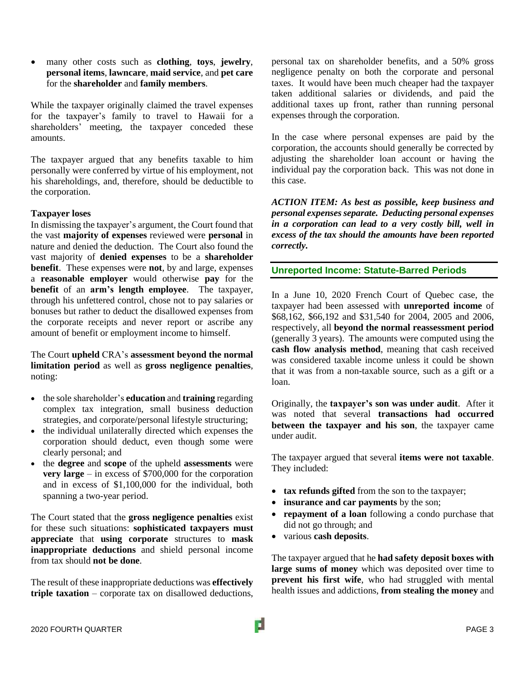• many other costs such as **clothing**, **toys**, **jewelry**, **personal items**, **lawncare**, **maid service**, and **pet care** for the **shareholder** and **family members**.

While the taxpayer originally claimed the travel expenses for the taxpayer's family to travel to Hawaii for a shareholders' meeting, the taxpayer conceded these amounts.

The taxpayer argued that any benefits taxable to him personally were conferred by virtue of his employment, not his shareholdings, and, therefore, should be deductible to the corporation.

#### **Taxpayer loses**

In dismissing the taxpayer's argument, the Court found that the vast **majority of expenses** reviewed were **personal** in nature and denied the deduction. The Court also found the vast majority of **denied expenses** to be a **shareholder benefit**. These expenses were **not**, by and large, expenses a **reasonable employer** would otherwise **pay** for the **benefit** of an **arm's length employee**. The taxpayer, through his unfettered control, chose not to pay salaries or bonuses but rather to deduct the disallowed expenses from the corporate receipts and never report or ascribe any amount of benefit or employment income to himself.

The Court **upheld** CRA's **assessment beyond the normal limitation period** as well as **gross negligence penalties**, noting:

- the sole shareholder's **education** and **training** regarding complex tax integration, small business deduction strategies, and corporate/personal lifestyle structuring;
- the individual unilaterally directed which expenses the corporation should deduct, even though some were clearly personal; and
- the **degree** and **scope** of the upheld **assessments** were **very large** – in excess of \$700,000 for the corporation and in excess of \$1,100,000 for the individual, both spanning a two-year period.

The Court stated that the **gross negligence penalties** exist for these such situations: **sophisticated taxpayers must appreciate** that **using corporate** structures to **mask inappropriate deductions** and shield personal income from tax should **not be done**.

The result of these inappropriate deductions was **effectively triple taxation** – corporate tax on disallowed deductions, personal tax on shareholder benefits, and a 50% gross negligence penalty on both the corporate and personal taxes. It would have been much cheaper had the taxpayer taken additional salaries or dividends, and paid the additional taxes up front, rather than running personal expenses through the corporation.

In the case where personal expenses are paid by the corporation, the accounts should generally be corrected by adjusting the shareholder loan account or having the individual pay the corporation back. This was not done in this case.

*ACTION ITEM: As best as possible, keep business and personal expensesseparate. Deducting personal expenses in a corporation can lead to a very costly bill, well in excess of the tax should the amounts have been reported correctly.* 

#### **Unreported Income: Statute-Barred Periods**

In a June 10, 2020 French Court of Quebec case, the taxpayer had been assessed with **unreported income** of \$68,162, \$66,192 and \$31,540 for 2004, 2005 and 2006, respectively, all **beyond the normal reassessment period** (generally 3 years). The amounts were computed using the **cash flow analysis method**, meaning that cash received was considered taxable income unless it could be shown that it was from a non-taxable source, such as a gift or a loan.

Originally, the **taxpayer's son was under audit**. After it was noted that several **transactions had occurred between the taxpayer and his son**, the taxpayer came under audit.

The taxpayer argued that several **items were not taxable**. They included:

- **tax refunds gifted** from the son to the taxpayer;
- **insurance and car payments** by the son;
- **repayment of a loan** following a condo purchase that did not go through; and
- various **cash deposits**.

The taxpayer argued that he **had safety deposit boxes with large sums of money** which was deposited over time to **prevent his first wife**, who had struggled with mental health issues and addictions, **from stealing the money** and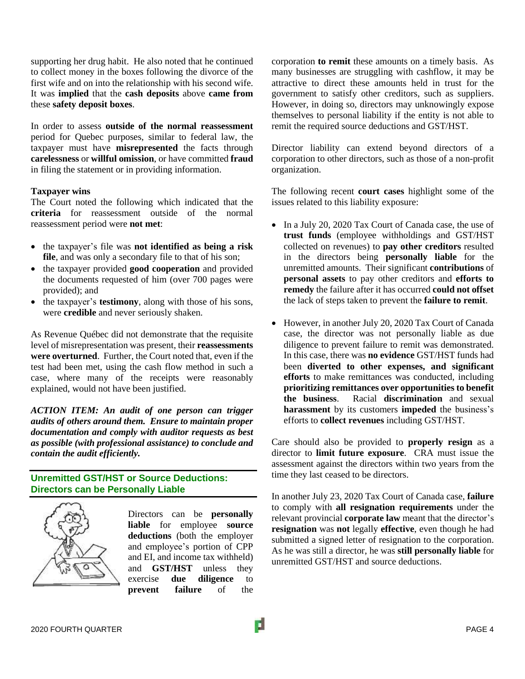supporting her drug habit. He also noted that he continued to collect money in the boxes following the divorce of the first wife and on into the relationship with his second wife. It was **implied** that the **cash deposits** above **came from** these **safety deposit boxes**.

In order to assess **outside of the normal reassessment** period for Quebec purposes, similar to federal law, the taxpayer must have **misrepresented** the facts through **carelessness** or **willful omission**, or have committed **fraud** in filing the statement or in providing information.

#### **Taxpayer wins**

The Court noted the following which indicated that the **criteria** for reassessment outside of the normal reassessment period were **not met**:

- the taxpayer's file was **not identified as being a risk file**, and was only a secondary file to that of his son;
- the taxpayer provided **good cooperation** and provided the documents requested of him (over 700 pages were provided); and
- the taxpayer's **testimony**, along with those of his sons, were **credible** and never seriously shaken.

As Revenue Québec did not demonstrate that the requisite level of misrepresentation was present, their **reassessments were overturned**. Further, the Court noted that, even if the test had been met, using the cash flow method in such a case, where many of the receipts were reasonably explained, would not have been justified.

*ACTION ITEM: An audit of one person can trigger audits of others around them. Ensure to maintain proper documentation and comply with auditor requests as best as possible (with professional assistance) to conclude and contain the audit efficiently.*

#### **Unremitted GST/HST or Source Deductions: Directors can be Personally Liable**



Directors can be **personally liable** for employee **source deductions** (both the employer and employee's portion of CPP and EI, and income tax withheld) and **GST/HST** unless they exercise **due diligence** to **prevent failure** of the

corporation **to remit** these amounts on a timely basis. As many businesses are struggling with cashflow, it may be attractive to direct these amounts held in trust for the government to satisfy other creditors, such as suppliers. However, in doing so, directors may unknowingly expose themselves to personal liability if the entity is not able to remit the required source deductions and GST/HST.

Director liability can extend beyond directors of a corporation to other directors, such as those of a non-profit organization.

The following recent **court cases** highlight some of the issues related to this liability exposure:

- In a July 20, 2020 Tax Court of Canada case, the use of **trust funds** (employee withholdings and GST/HST collected on revenues) to **pay other creditors** resulted in the directors being **personally liable** for the unremitted amounts. Their significant **contributions** of **personal assets** to pay other creditors and **efforts to remedy** the failure after it has occurred **could not offset** the lack of steps taken to prevent the **failure to remit**.
- However, in another July 20, 2020 Tax Court of Canada case, the director was not personally liable as due diligence to prevent failure to remit was demonstrated. In this case, there was **no evidence** GST/HST funds had been **diverted to other expenses, and significant efforts** to make remittances was conducted, including **prioritizing remittances over opportunities to benefit the business**. Racial **discrimination** and sexual **harassment** by its customers **impeded** the business's efforts to **collect revenues** including GST/HST.

Care should also be provided to **properly resign** as a director to **limit future exposure**. CRA must issue the assessment against the directors within two years from the time they last ceased to be directors.

In another July 23, 2020 Tax Court of Canada case, **failure** to comply with **all resignation requirements** under the relevant provincial **corporate law** meant that the director's **resignation** was **not** legally **effective**, even though he had submitted a signed letter of resignation to the corporation. As he was still a director, he was **still personally liable** for unremitted GST/HST and source deductions.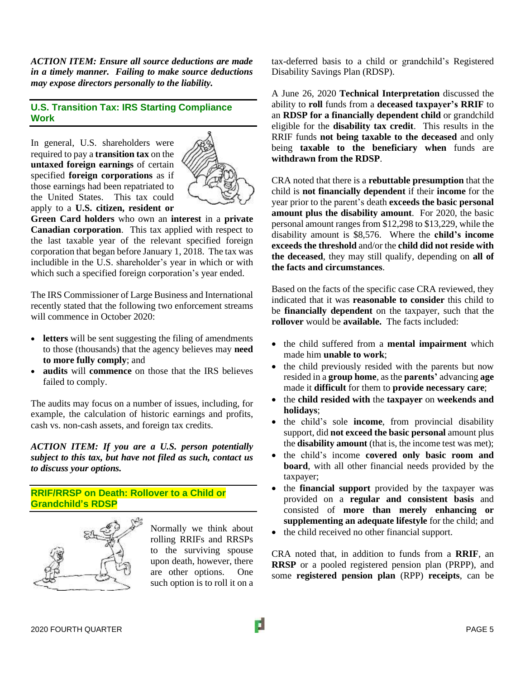*ACTION ITEM: Ensure all source deductions are made in a timely manner. Failing to make source deductions may expose directors personally to the liability.*

### **U.S. Transition Tax: IRS Starting Compliance Work**

In general, U.S. shareholders were required to pay a **transition tax** on the **untaxed foreign earnings** of certain specified **foreign corporations** as if those earnings had been repatriated to the United States. This tax could apply to a **U.S. citizen, resident or**



**Green Card holders** who own an **interest** in a **private Canadian corporation**. This tax applied with respect to the last taxable year of the relevant specified foreign corporation that began before January 1, 2018. The tax was includible in the U.S. shareholder's year in which or with which such a specified foreign corporation's year ended.

The IRS Commissioner of Large Business and International recently stated that the following two enforcement streams will commence in October 2020:

- **letters** will be sent suggesting the filing of amendments to those (thousands) that the agency believes may **need to more fully comply**; and
- **audits** will **commence** on those that the IRS believes failed to comply.

The audits may focus on a number of issues, including, for example, the calculation of historic earnings and profits, cash vs. non-cash assets, and foreign tax credits.

*ACTION ITEM: If you are a U.S. person potentially subject to this tax, but have not filed as such, contact us to discuss your options.*

**RRIF/RRSP on Death: Rollover to a Child or Grandchild's RDSP**



Normally we think about rolling RRIFs and RRSPs to the surviving spouse upon death, however, there are other options. One such option is to roll it on a tax-deferred basis to a child or grandchild's Registered Disability Savings Plan (RDSP).

A June 26, 2020 **Technical Interpretation** discussed the ability to **roll** funds from a **deceased taxpayer's RRIF** to an **RDSP for a financially dependent child** or grandchild eligible for the **disability tax credit**. This results in the RRIF funds **not being taxable to the deceased** and only being **taxable to the beneficiary when** funds are **withdrawn from the RDSP**.

CRA noted that there is a **rebuttable presumption** that the child is **not financially dependent** if their **income** for the year prior to the parent's death **exceeds the basic personal amount plus the disability amount**. For 2020, the basic personal amount ranges from \$12,298 to \$13,229, while the disability amount is \$8,576. Where the **child's income exceeds the threshold** and/or the **child did not reside with the deceased**, they may still qualify, depending on **all of the facts and circumstances**.

Based on the facts of the specific case CRA reviewed, they indicated that it was **reasonable to consider** this child to be **financially dependent** on the taxpayer, such that the **rollover** would be **available.** The facts included:

- the child suffered from a **mental impairment** which made him **unable to work**;
- the child previously resided with the parents but now resided in a **group home**, as the **parents'** advancing **age** made it **difficult** for them to **provide necessary care**;
- the **child resided with** the **taxpayer** on **weekends and holidays**;
- the child's sole **income**, from provincial disability support, did **not exceed the basic personal** amount plus the **disability amount** (that is, the income test was met);
- the child's income **covered only basic room and board**, with all other financial needs provided by the taxpayer;
- the **financial support** provided by the taxpayer was provided on a **regular and consistent basis** and consisted of **more than merely enhancing or supplementing an adequate lifestyle** for the child; and
- the child received no other financial support.

CRA noted that, in addition to funds from a **RRIF**, an **RRSP** or a pooled registered pension plan (PRPP), and some **registered pension plan** (RPP) **receipts**, can be